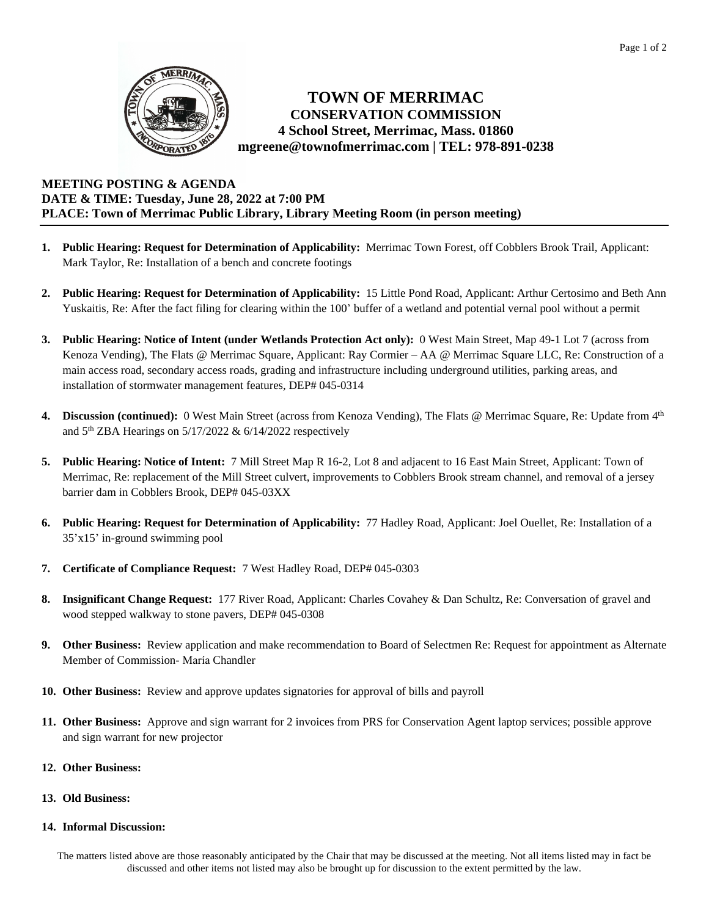

## **TOWN OF MERRIMAC CONSERVATION COMMISSION 4 School Street, Merrimac, Mass. 01860 mgreene@townofmerrimac.com | TEL: 978-891-0238**

## **MEETING POSTING & AGENDA DATE & TIME: Tuesday, June 28, 2022 at 7:00 PM PLACE: Town of Merrimac Public Library, Library Meeting Room (in person meeting)**

- **1. Public Hearing: Request for Determination of Applicability:** Merrimac Town Forest, off Cobblers Brook Trail, Applicant: Mark Taylor, Re: Installation of a bench and concrete footings
- **2. Public Hearing: Request for Determination of Applicability:** 15 Little Pond Road, Applicant: Arthur Certosimo and Beth Ann Yuskaitis, Re: After the fact filing for clearing within the 100' buffer of a wetland and potential vernal pool without a permit
- **3. Public Hearing: Notice of Intent (under Wetlands Protection Act only):** 0 West Main Street, Map 49-1 Lot 7 (across from Kenoza Vending), The Flats @ Merrimac Square, Applicant: Ray Cormier – AA @ Merrimac Square LLC, Re: Construction of a main access road, secondary access roads, grading and infrastructure including underground utilities, parking areas, and installation of stormwater management features, DEP# 045-0314
- **4. Discussion (continued):** 0 West Main Street (across from Kenoza Vending), The Flats @ Merrimac Square, Re: Update from 4th and 5<sup>th</sup> ZBA Hearings on 5/17/2022 & 6/14/2022 respectively
- **5. Public Hearing: Notice of Intent:** 7 Mill Street Map R 16-2, Lot 8 and adjacent to 16 East Main Street, Applicant: Town of Merrimac, Re: replacement of the Mill Street culvert, improvements to Cobblers Brook stream channel, and removal of a jersey barrier dam in Cobblers Brook, DEP# 045-03XX
- **6. Public Hearing: Request for Determination of Applicability:** 77 Hadley Road, Applicant: Joel Ouellet, Re: Installation of a 35'x15' in-ground swimming pool
- **7. Certificate of Compliance Request:** 7 West Hadley Road, DEP# 045-0303
- **8. Insignificant Change Request:** 177 River Road, Applicant: Charles Covahey & Dan Schultz, Re: Conversation of gravel and wood stepped walkway to stone pavers, DEP# 045-0308
- **9. Other Business:** Review application and make recommendation to Board of Selectmen Re: Request for appointment as Alternate Member of Commission- María Chandler
- **10. Other Business:** Review and approve updates signatories for approval of bills and payroll
- **11. Other Business:** Approve and sign warrant for 2 invoices from PRS for Conservation Agent laptop services; possible approve and sign warrant for new projector
- **12. Other Business:**
- **13. Old Business:**
- **14. Informal Discussion:**

The matters listed above are those reasonably anticipated by the Chair that may be discussed at the meeting. Not all items listed may in fact be discussed and other items not listed may also be brought up for discussion to the extent permitted by the law.